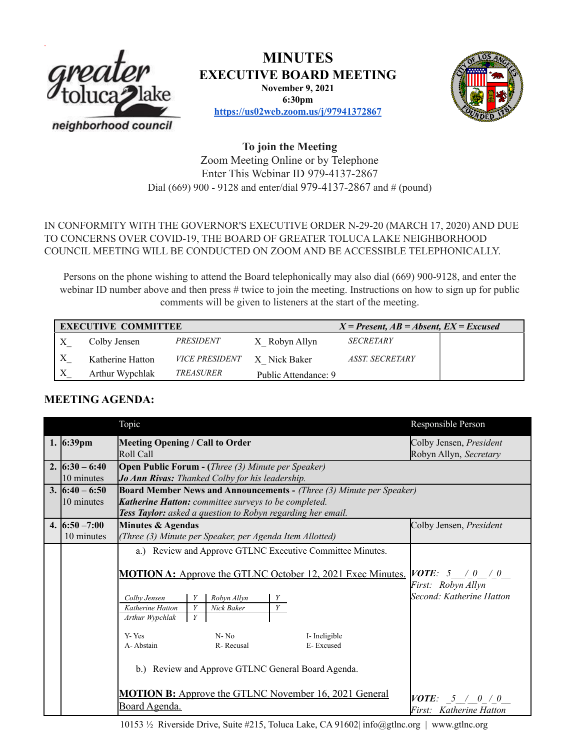

# **MINUTES**

**EXECUTIVE BOARD MEETING**

**November 9, 2021 6:30pm**



**<https://us02web.zoom.us/j/97941372867>**

**To join the Meeting** Zoom Meeting Online or by Telephone Enter This Webinar ID 979-4137-2867 Dial (669) 900 - 9128 and enter/dial 979-4137-2867 and # (pound)

## IN CONFORMITY WITH THE GOVERNOR'S EXECUTIVE ORDER N-29-20 (MARCH 17, 2020) AND DUE TO CONCERNS OVER COVID-19, THE BOARD OF GREATER TOLUCA LAKE NEIGHBORHOOD COUNCIL MEETING WILL BE CONDUCTED ON ZOOM AND BE ACCESSIBLE TELEPHONICALLY.

Persons on the phone wishing to attend the Board telephonically may also dial (669) 900-9128, and enter the webinar ID number above and then press # twice to join the meeting. Instructions on how to sign up for public comments will be given to listeners at the start of the meeting.

| <b>EXECUTIVE COMMITTEE</b> |                  |                       |                      | $X = Present, AB = Absent, EX = Excused$ |  |
|----------------------------|------------------|-----------------------|----------------------|------------------------------------------|--|
|                            | Colby Jensen     | PRESIDENT             | X Robyn Allyn        | <b>SECRETARY</b>                         |  |
|                            | Katherine Hatton | <i>VICE PRESIDENT</i> | X Nick Baker         | ASST. SECRETARY                          |  |
|                            | Arthur Wypchlak  | <i>TREASURER</i>      | Public Attendance: 9 |                                          |  |

## **MEETING AGENDA:**

|                     | Topic                                                                       | Responsible Person                  |  |  |
|---------------------|-----------------------------------------------------------------------------|-------------------------------------|--|--|
| 1. $6:39 \text{pm}$ | Meeting Opening / Call to Order                                             | Colby Jensen, President             |  |  |
|                     | Roll Call                                                                   | Robyn Allyn, Secretary              |  |  |
| 2. $6:30 - 6:40$    | <b>Open Public Forum - (Three (3) Minute per Speaker)</b>                   |                                     |  |  |
| 10 minutes          | Jo Ann Rivas: Thanked Colby for his leadership.                             |                                     |  |  |
| 3. $6:40 - 6:50$    | <b>Board Member News and Announcements - (Three (3) Minute per Speaker)</b> |                                     |  |  |
| 10 minutes          | Katherine Hatton: committee surveys to be completed.                        |                                     |  |  |
|                     | Tess Taylor: asked a question to Robyn regarding her email.                 |                                     |  |  |
| 4. $6:50 - 7:00$    | Minutes & Agendas                                                           | Colby Jensen, President             |  |  |
| 10 minutes          | (Three (3) Minute per Speaker, per Agenda Item Allotted)                    |                                     |  |  |
|                     | a.) Review and Approve GTLNC Executive Committee Minutes.                   |                                     |  |  |
|                     |                                                                             |                                     |  |  |
|                     | <b>MOTION A:</b> Approve the GTLNC October 12, 2021 Exec Minutes.           | $\vert VOTE: 5 \vert / 0 \vert / 0$ |  |  |
|                     |                                                                             | First: Robyn Allyn                  |  |  |
|                     | Robyn Allyn<br>Colby Jensen<br>Y                                            | Second: Katherine Hatton            |  |  |
|                     | Y<br>Katherine Hatton<br>Nick Baker<br>Y                                    |                                     |  |  |
|                     | Y<br>Arthur Wypchlak                                                        |                                     |  |  |
|                     | $N - No$<br>Y-Yes<br>I-Ineligible                                           |                                     |  |  |
|                     | A-Abstain<br>R-Recusal<br>E-Excused                                         |                                     |  |  |
|                     |                                                                             |                                     |  |  |
|                     | b.) Review and Approve GTLNC General Board Agenda.                          |                                     |  |  |
|                     |                                                                             |                                     |  |  |
|                     | <b>MOTION B:</b> Approve the GTLNC November 16, 2021 General                |                                     |  |  |
|                     | Board Agenda.                                                               | $\textit{VOTE}: 5 / 0 / 0$          |  |  |
|                     |                                                                             | First: Katherine Hatton             |  |  |

10153 ½ Riverside Drive, Suite #215, Toluca Lake, CA 91602| info@gtlnc.org | www.gtlnc.org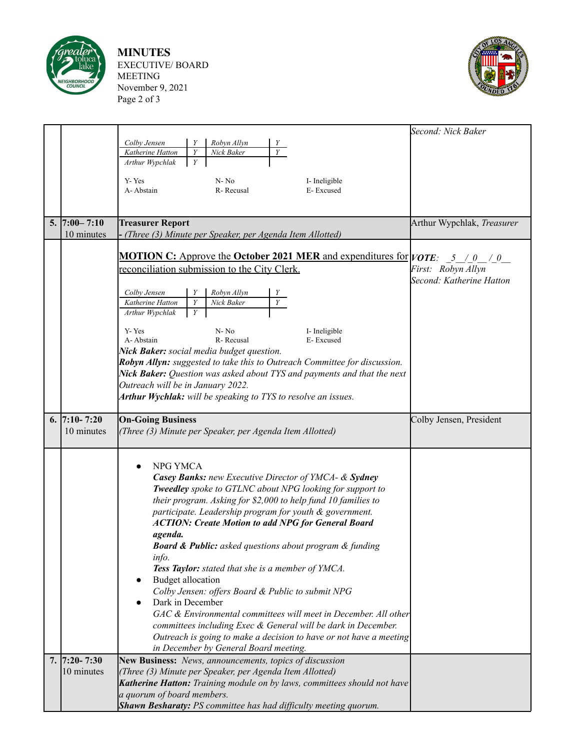

**MINUTES** EXECUTIVE/ BOARD MEETING November 9, 2021 Page 2 of 3



|                       |                                                                                              | Second: Nick Baker                             |
|-----------------------|----------------------------------------------------------------------------------------------|------------------------------------------------|
|                       | Colby Jensen<br>Robyn Allyn<br>Y                                                             |                                                |
|                       | $\overline{Y}$<br>Katherine Hatton<br>Y<br>Nick Baker                                        |                                                |
|                       | Y<br>Arthur Wypchlak                                                                         |                                                |
|                       | Y-Yes<br>I- Ineligible<br>N-No                                                               |                                                |
|                       | A-Abstain<br>R-Recusal<br>E-Excused                                                          |                                                |
|                       |                                                                                              |                                                |
|                       |                                                                                              |                                                |
| $5. \mid 7:00 - 7:10$ | <b>Treasurer Report</b>                                                                      | Arthur Wypchlak, Treasurer                     |
| 10 minutes            | - (Three (3) Minute per Speaker, per Agenda Item Allotted)                                   |                                                |
|                       | <b>MOTION C:</b> Approve the <b>October 2021 MER</b> and expenditures for $ VOTE:$ 5 / 0 / 0 |                                                |
|                       |                                                                                              |                                                |
|                       | reconciliation submission to the City Clerk.                                                 | First: Robyn Allyn<br>Second: Katherine Hatton |
|                       |                                                                                              |                                                |
|                       | Robyn Allyn<br>Colby Jensen<br>Y<br>$\overline{Y}$<br>Katherine Hatton<br>Y<br>Nick Baker    |                                                |
|                       | Arthur Wypchlak<br>Y                                                                         |                                                |
|                       |                                                                                              |                                                |
|                       | Y-Yes<br>$N - No$<br>I-Ineligible                                                            |                                                |
|                       | A-Abstain<br>R-Recusal<br>E-Excused<br>Nick Baker: social media budget question.             |                                                |
|                       | Robyn Allyn: suggested to take this to Outreach Committee for discussion.                    |                                                |
|                       | Nick Baker: Question was asked about TYS and payments and that the next                      |                                                |
|                       | Outreach will be in January 2022.                                                            |                                                |
|                       | Arthur Wychlak: will be speaking to TYS to resolve an issues.                                |                                                |
|                       |                                                                                              |                                                |
| 6. $7:10 - 7:20$      | <b>On-Going Business</b>                                                                     | Colby Jensen, President                        |
| 10 minutes            | (Three (3) Minute per Speaker, per Agenda Item Allotted)                                     |                                                |
|                       |                                                                                              |                                                |
|                       |                                                                                              |                                                |
|                       | NPG YMCA<br>$\bullet$                                                                        |                                                |
|                       | Casey Banks: new Executive Director of YMCA- & Sydney                                        |                                                |
|                       | Tweedley spoke to GTLNC about NPG looking for support to                                     |                                                |
|                       | their program. Asking for \$2,000 to help fund 10 families to                                |                                                |
|                       | participate. Leadership program for youth & government.                                      |                                                |
|                       | <b>ACTION: Create Motion to add NPG for General Board</b>                                    |                                                |
|                       | agenda.                                                                                      |                                                |
|                       | <b>Board &amp; Public:</b> asked questions about program & funding                           |                                                |
|                       | info.<br>Tess Taylor: stated that she is a member of YMCA.                                   |                                                |
|                       | <b>Budget allocation</b><br>$\bullet$                                                        |                                                |
|                       | Colby Jensen: offers Board & Public to submit NPG                                            |                                                |
|                       | Dark in December                                                                             |                                                |
|                       | GAC & Environmental committees will meet in December. All other                              |                                                |
|                       | committees including Exec & General will be dark in December.                                |                                                |
|                       | Outreach is going to make a decision to have or not have a meeting                           |                                                |
|                       | in December by General Board meeting.                                                        |                                                |
| $7.  7:20-7:30$       | New Business: News, announcements, topics of discussion                                      |                                                |
| 10 minutes            | (Three (3) Minute per Speaker, per Agenda Item Allotted)                                     |                                                |
|                       | Katherine Hatton: Training module on by laws, committees should not have                     |                                                |
|                       | a quorum of board members.                                                                   |                                                |
|                       | <b>Shawn Besharaty:</b> PS committee has had difficulty meeting quorum.                      |                                                |